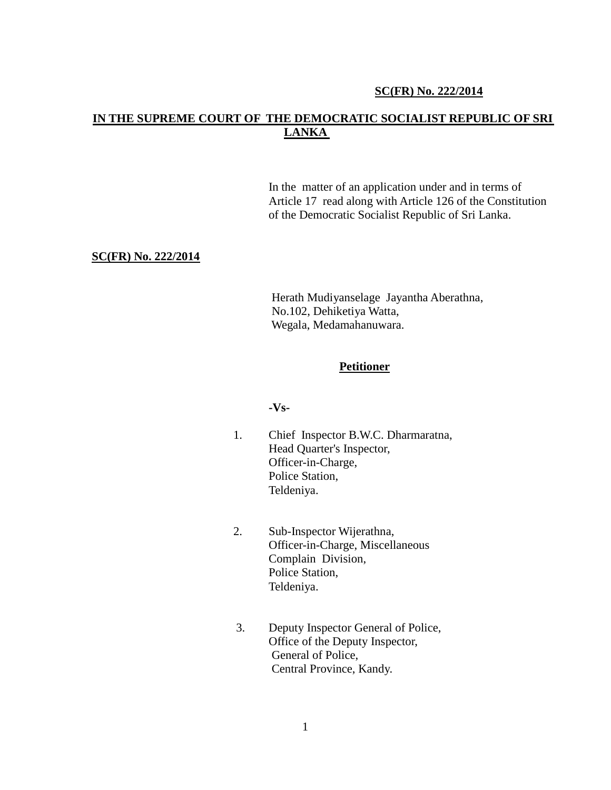#### **SC(FR) No. 222/2014**

# **IN THE SUPREME COURT OF THE DEMOCRATIC SOCIALIST REPUBLIC OF SRI LANKA**

In the matter of an application under and in terms of Article 17 read along with Article 126 of the Constitution of the Democratic Socialist Republic of Sri Lanka.

#### **SC(FR) No. 222/2014**

Herath Mudiyanselage Jayantha Aberathna, No.102, Dehiketiya Watta, Wegala, Medamahanuwara.

#### **Petitioner**

#### **-Vs-**

- 1. Chief Inspector B.W.C. Dharmaratna, Head Quarter's Inspector, Officer-in-Charge, Police Station, Teldeniya.
- 2. Sub-Inspector Wijerathna, Officer-in-Charge, Miscellaneous Complain Division, Police Station, Teldeniya.
- 3. Deputy Inspector General of Police, Office of the Deputy Inspector, General of Police, Central Province, Kandy.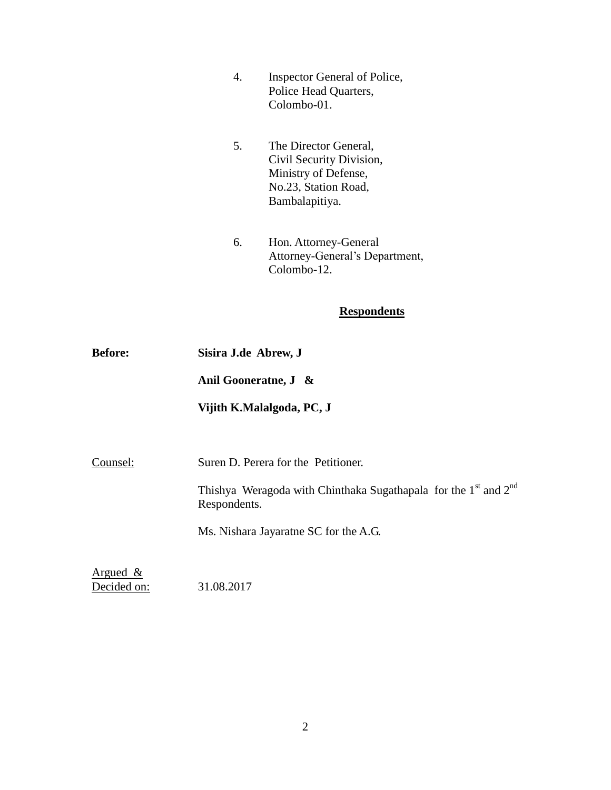- 4. Inspector General of Police, Police Head Quarters, Colombo-01.
- 5. The Director General, Civil Security Division, Ministry of Defense, No.23, Station Road, Bambalapitiya.
- 6. Hon. Attorney-General Attorney-General's Department, Colombo-12.

# **Respondents**

| <b>Before:</b> | Sisira J.de Abrew, J                                                                                    |
|----------------|---------------------------------------------------------------------------------------------------------|
|                | Anil Gooneratne, J &                                                                                    |
|                | Vijith K.Malalgoda, PC, J                                                                               |
|                |                                                                                                         |
| Counsel:       | Suren D. Perera for the Petitioner.                                                                     |
|                | Thishya Weragoda with Chinthaka Sugathapala for the 1 <sup>st</sup> and 2 <sup>nd</sup><br>Respondents. |
|                | Ms. Nishara Jayaratne SC for the A.G.                                                                   |
| Argued $\&$    |                                                                                                         |

Decided on: 31.08.2017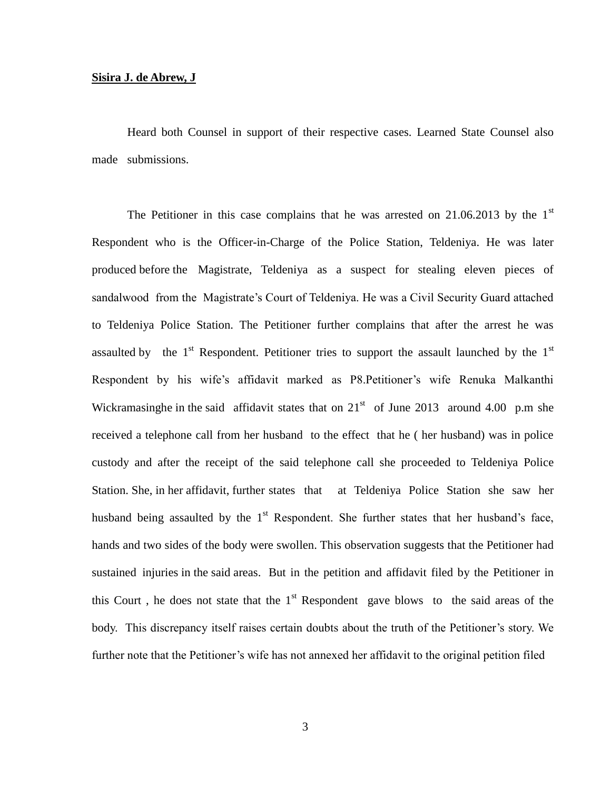#### **Sisira J. de Abrew, J**

Heard both Counsel in support of their respective cases. Learned State Counsel also made submissions.

The Petitioner in this case complains that he was arrested on  $21.06.2013$  by the  $1<sup>st</sup>$ Respondent who is the Officer-in-Charge of the Police Station, Teldeniya. He was later produced before the Magistrate, Teldeniya as a suspect for stealing eleven pieces of sandalwood from the Magistrate's Court of Teldeniya. He was a Civil Security Guard attached to Teldeniya Police Station. The Petitioner further complains that after the arrest he was assaulted by the  $1<sup>st</sup>$  Respondent. Petitioner tries to support the assault launched by the  $1<sup>st</sup>$ Respondent by his wife's affidavit marked as P8.Petitioner's wife Renuka Malkanthi Wickramasinghe in the said affidavit states that on  $21<sup>st</sup>$  of June 2013 around 4.00 p.m she received a telephone call from her husband to the effect that he ( her husband) was in police custody and after the receipt of the said telephone call she proceeded to Teldeniya Police Station. She, in her affidavit, further states that at Teldeniya Police Station she saw her husband being assaulted by the  $1<sup>st</sup>$  Respondent. She further states that her husband's face, hands and two sides of the body were swollen. This observation suggests that the Petitioner had sustained injuries in the said areas. But in the petition and affidavit filed by the Petitioner in this Court, he does not state that the  $1<sup>st</sup>$  Respondent gave blows to the said areas of the body. This discrepancy itself raises certain doubts about the truth of the Petitioner's story. We further note that the Petitioner's wife has not annexed her affidavit to the original petition filed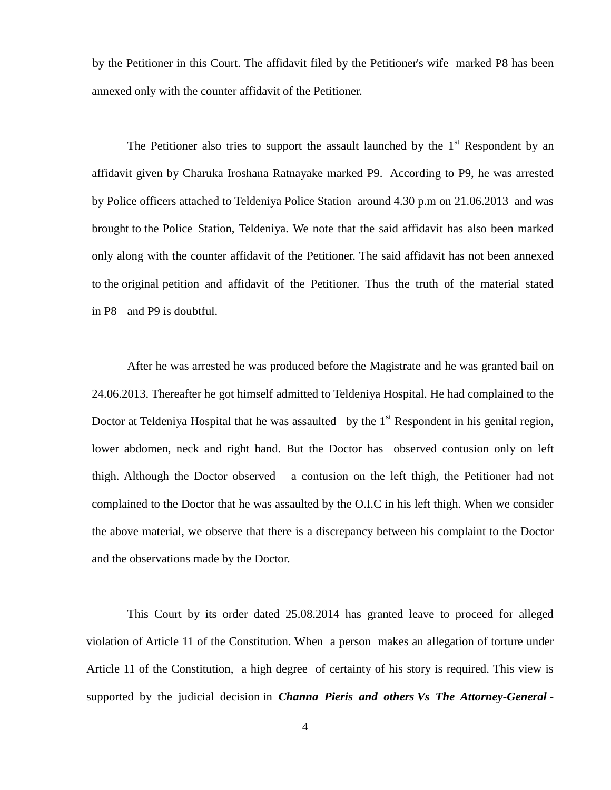by the Petitioner in this Court. The affidavit filed by the Petitioner's wife marked P8 has been annexed only with the counter affidavit of the Petitioner.

The Petitioner also tries to support the assault launched by the  $1<sup>st</sup>$  Respondent by an affidavit given by Charuka Iroshana Ratnayake marked P9. According to P9, he was arrested by Police officers attached to Teldeniya Police Station around 4.30 p.m on 21.06.2013 and was brought to the Police Station, Teldeniya. We note that the said affidavit has also been marked only along with the counter affidavit of the Petitioner. The said affidavit has not been annexed to the original petition and affidavit of the Petitioner. Thus the truth of the material stated in P8 and P9 is doubtful.

After he was arrested he was produced before the Magistrate and he was granted bail on 24.06.2013. Thereafter he got himself admitted to Teldeniya Hospital. He had complained to the Doctor at Teldeniya Hospital that he was assaulted by the  $1<sup>st</sup>$  Respondent in his genital region, lower abdomen, neck and right hand. But the Doctor has observed contusion only on left thigh. Although the Doctor observed a contusion on the left thigh, the Petitioner had not complained to the Doctor that he was assaulted by the O.I.C in his left thigh. When we consider the above material, we observe that there is a discrepancy between his complaint to the Doctor and the observations made by the Doctor.

This Court by its order dated 25.08.2014 has granted leave to proceed for alleged violation of Article 11 of the Constitution. When a person makes an allegation of torture under Article 11 of the Constitution, a high degree of certainty of his story is required. This view is supported by the judicial decision in *Channa Pieris and others Vs The Attorney-General -*